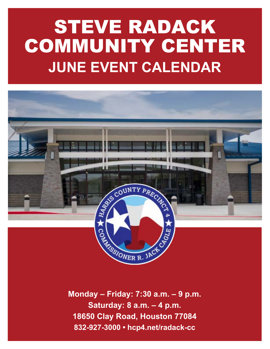# STEVE RADACK COMMUNITY CENTER **JUNE EVENT CALENDAR**



**Monday – Friday: 7:30 a.m. – 9 p.m. Saturday: 8 a.m. – 4 p.m. 18650 Clay Road, Houston 77084 832-927-3000 • hcp4.net/radack-cc**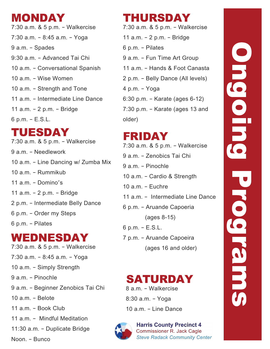# MONDAY

7:30 a.m. & 5 p.m. – Walkercise 7:30 a.m. – 8:45 a.m. – Yoga 9 a.m. – Spades 9:30 a.m. – Advanced Tai Chi 10 a.m. – Conversational Spanish 10 a.m. – Wise Women 10 a.m. – Strength and Tone 11 a.m. – Intermediate Line Dance 11 a.m. – 2 p.m. – Bridge 6 p.m. – E.S.L.

# TUESDAY

7:30 a.m. & 5 p.m. – Walkercise 9 a.m. – Needlework 10 a.m. – Line Dancing w/ Zumba Mix 10 a.m. – Rummikub 11 a.m. – Domino's 11 a.m. – 2 p.m. – Bridge 2 p.m. – Intermediate Belly Dance 6 p.m. – Order my Steps 6 p.m. – Pilates

# WEDNESDAY

7:30 a.m. & 5 p.m. – Walkercise 7:30 a.m. – 8:45 a.m. – Yoga 10 a.m. – Simply Strength 9 a.m. – Pinochle 9 a.m. – Beginner Zenobics Tai Chi 10 a.m. – Belote 11 a.m. – Book Club 11 a.m. – Mindful Meditation 11:30 a.m. – Duplicate Bridge Noon. – Bunco

# THURSDAY

7:30 a.m. & 5 p.m. – Walkercise 11 a.m. – 2 p.m. – Bridge 6 p.m. – Pilates 9 a.m. – Fun Time Art Group 11 a.m. – Hands & Foot Canasta 2 p.m. – Belly Dance (All levels) 4 p.m. – Yoga 6:30 p.m. – Karate (ages 6-12) 7:30 p.m. – Karate (ages 13 and older)

# FRIDAY

7:30 a.m. & 5 p.m. – Walkercise 9 a.m. – Zenobics Tai Chi 9 a.m. – Pinochle 10 a.m. – Cardio & Strength 10 a.m. – Euchre 11 a.m. – Intermediate Line Dance 6 p.m. – Aruande Capoeria (ages 8-15) 6 p.m. – E.S.L. 7 p.m. – Aruande Capoeira (ages 16 and older)

### 8 a.m. – Walkercise SATURDAY

8:30 a.m. – Yoga 10 a.m. – Line Dance



**Harris County Precinct 4 Commissioner R. Jack Cagle Steve Radack Community Center**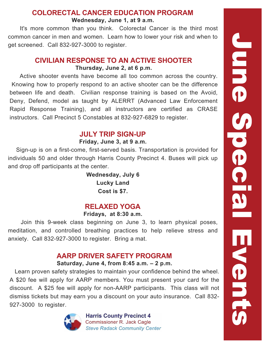#### **Wednesday, June 1, at 9 a.m. COLORECTAL CANCER EDUCATION PROGRAM**

 It's more common than you think. Colorectal Cancer is the third most common cancer in men and women. Learn how to lower your risk and when to get screened. Call 832-927-3000 to register.

# **Thursday, June 2, at 6 p.m. CIVILIAN RESPONSE TO AN ACTIVE SHOOTER**

 Active shooter events have become all too common across the country. Knowing how to properly respond to an active shooter can be the difference between life and death. Civilian response training is based on the Avoid, Deny, Defend, model as taught by ALERRT (Advanced Law Enforcement Rapid Response Training), and all instructors are certified as CRASE instructors. Call Precinct 5 Constables at 832-927-6829 to register.

# **JULY TRIP SIGN-UP**

#### **Friday, June 3, at 9 a.m.**

 Sign-up is on a first-come, first-served basis. Transportation is provided for individuals 50 and older through Harris County Precinct 4. Buses will pick up and drop off participants at the center.

> **Wednesday, July 6 Lucky Land Cost is \$7.**

# **RELAXED YOGA**

#### **Fridays, at 8:30 a.m.**

 Join this 9-week class beginning on June 3, to learn physical poses, meditation, and controlled breathing practices to help relieve stress and anxiety. Call 832-927-3000 to register. Bring a mat.

### **Saturday, June 4, from 8:45 a.m. – 2 p.m. AARP DRIVER SAFETY PROGRAM**

 Learn proven safety strategies to maintain your confidence behind the wheel. A \$20 fee will apply for AARP members. You must present your card for the discount. A \$25 fee will apply for non-AARP participants. This class will not dismiss tickets but may earn you a discount on your auto insurance. Call 832- 927-3000 to register.



**Harris County Precinct 4 Commissioner R. Jack Cagle Steve Radack Community Center**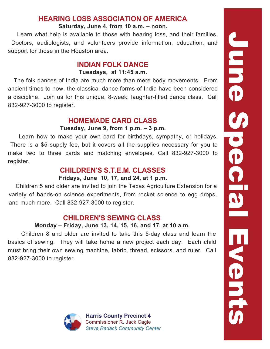### **HEARING LOSS ASSOCIATION OF AMERICA**

#### **Saturday, June 4, from 10 a.m. – noon.**

 Learn what help is available to those with hearing loss, and their families. Doctors, audiologists, and volunteers provide information, education, and support for those in the Houston area.

#### **Tuesdays, at 11:45 a.m. INDIAN FOLK DANCE**

 The folk dances of India are much more than mere body movements. From ancient times to now, the classical dance forms of India have been considered a discipline. Join us for this unique, 8-week, laughter-filled dance class. Call 832-927-3000 to register.

## **HOMEMADE CARD CLASS**

#### **Tuesday, June 9, from 1 p.m. – 3 p.m.**

 Learn how to make your own card for birthdays, sympathy, or holidays. There is a \$5 supply fee, but it covers all the supplies necessary for you to make two to three cards and matching envelopes. Call 832-927-3000 to register.

# **CHILDREN'S S.T.E.M. CLASSES**

#### **Fridays, June 10, 17, and 24, at 1 p.m.**

 Children 5 and older are invited to join the Texas Agriculture Extension for a variety of hands-on science experiments, from rocket science to egg drops, and much more. Call 832-927-3000 to register.

# **CHILDREN'S SEWING CLASS**

#### **Monday – Friday, June 13, 14, 15, 16, and 17, at 10 a.m.**

 Children 8 and older are invited to take this 5-day class and learn the basics of sewing. They will take home a new project each day. Each child must bring their own sewing machine, fabric, thread, scissors, and ruler. Call 832-927-3000 to register.